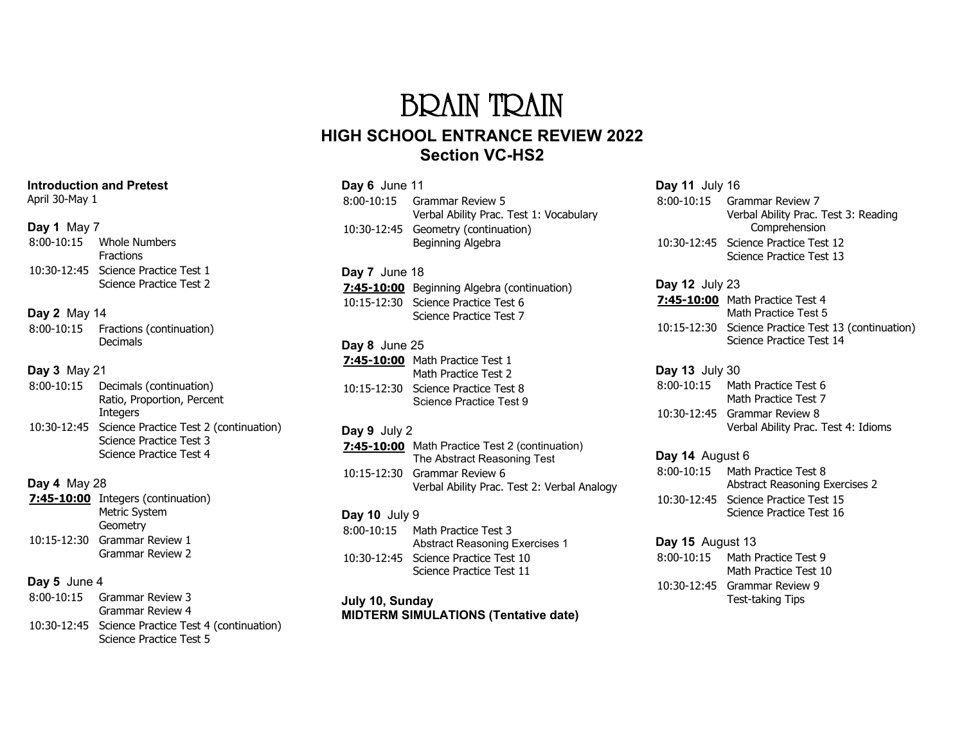# BRAIN TRAIN **HIGH SCHOOL ENTRANCE REVIEW 2022 Section VC-HS2**

| Day 6 June 11   |                                                                               |
|-----------------|-------------------------------------------------------------------------------|
|                 | 8:00-10:15 Grammar Review 5<br>Verbal Ability Prac. Test 1: Vocabulary        |
| 10:30-12:45     | Geometry (continuation)<br>Beginning Algebra                                  |
| Day 7 June 18   |                                                                               |
|                 | <b>7:45-10:00</b> Beginning Algebra (continuation)                            |
|                 | 10:15-12:30 Science Practice Test 6                                           |
|                 | Science Practice Test 7                                                       |
| Day 8 June 25   |                                                                               |
|                 | <b>7:45-10:00</b> Math Practice Test 1                                        |
|                 | Math Practice Test 2                                                          |
|                 | 10:15-12:30 Science Practice Test 8<br>Science Practice Test 9                |
| Day 9 July 2    |                                                                               |
|                 | 7:45-10:00 Math Practice Test 2 (continuation)<br>The Abstract Reasoning Test |
| 10:15-12:30     | Grammar Review 6                                                              |
|                 | Verbal Ability Prac. Test 2: Verbal Analogy                                   |
| Day 10 July $9$ |                                                                               |
|                 | 8:00-10:15 Math Practice Test 3                                               |
|                 | <b>Abstract Reasoning Exercises 1</b>                                         |
|                 | 10:30-12:45 Science Practice Test 10<br>Science Practice Test 11              |
|                 |                                                                               |

#### **July 10, Sunday MIDTERM SIMULATIONS (Tentative date)**

#### **Day 11** July 16 8:00-10:15 Grammar Review 7 Verbal Ability Prac. Test 3: Reading Comprehension 10:30-12:45 Science Practice Test 12 Science Practice Test 13

**Day 12** July 23 **7:45-10:00** Math Practice Test 4 Math Practice Test 5 10:15-12:30 Science Practice Test 13 (continuation) Science Practice Test 14

#### **Day 13** July 30 8:00-10:15 Math Practice Test 6 Math Practice Test 7 10:30-12:45 Grammar Review 8 Verbal Ability Prac. Test 4: Idioms

**Day 14** August 6 8:00-10:15 Math Practice Test 8 Abstract Reasoning Exercises 2 10:30-12:45 Science Practice Test 15 Science Practice Test 16

**Day 15** August 13 8:00-10:15 Math Practice Test 9 Math Practice Test 10 10:30-12:45 Grammar Review 9 Test-taking Tips

#### **Introduction and Pretest**

April 30-May 1

#### **Day 1** May 7

| $8:00-10:15$ | Whole Numbers                       |
|--------------|-------------------------------------|
|              | Fractions                           |
|              | 10:30-12:45 Science Practice Test 1 |
|              | Science Practice Test 2             |

## **Day 2** May 14

| 8:00-10:15 | Fractions (continuation) |
|------------|--------------------------|
|            | <b>Decimals</b>          |

# **Day 3** May 21

| $8:00-10:15$ | Decimals (continuation)                            |
|--------------|----------------------------------------------------|
|              | Ratio, Proportion, Percent                         |
|              | Integers                                           |
|              | 10:30-12:45 Science Practice Test 2 (continuation) |
|              | Science Practice Test 3                            |

Science Practice Test 4

## **Day 4** May 28

| 7:45-10:00 Integers (continuation) |
|------------------------------------|
| Metric System                      |
| Geometry                           |
| 10:15-12:30 Grammar Review 1       |
| <b>Grammar Review 2</b>            |

# **Day 5** June 4

| 8:00-10:15 Grammar Review 3                        |
|----------------------------------------------------|
| Grammar Review 4                                   |
| 10:30-12:45 Science Practice Test 4 (continuation) |
| Science Practice Test 5                            |